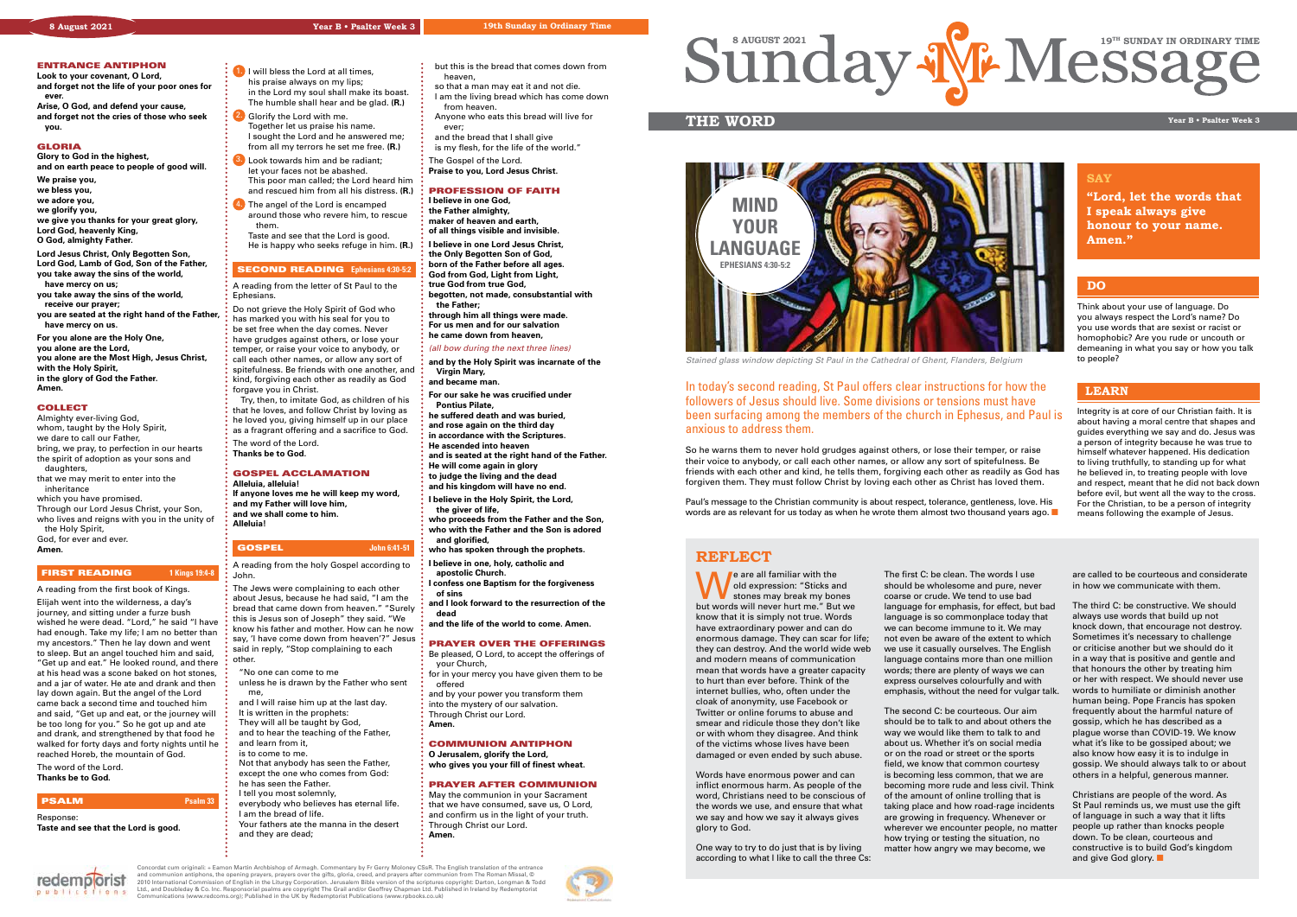### ENTRANCE ANTIPHON **Look to your covenant, O Lord,**

**and forget not the life of your poor ones for ever.**

**Arise, O God, and defend your cause, and forget not the cries of those who seek you.**

### GLORIA

**Glory to God in the highest, and on earth peace to people of good will.**

**We praise you,**

**we bless you, we adore you,**

**we glorify you,**

**we give you thanks for your great glory, Lord God, heavenly King, O God, almighty Father.**

**Lord Jesus Christ, Only Begotten Son, Lord God, Lamb of God, Son of the Father, you take away the sins of the world, have mercy on us;**

**you take away the sins of the world, receive our prayer;**

**you are seated at the right hand of the Father, have mercy on us.**

**For you alone are the Holy One, you alone are the Lord, you alone are the Most High, Jesus Christ, with the Holy Spirit, in the glory of God the Father. Amen.**

# **COLLECT**

- Almighty ever-living God, whom, taught by the Holy Spirit, we dare to call our Father, bring, we pray, to perfection in our hearts the spirit of adoption as your sons and daughters,
- that we may merit to enter into the inheritance
- **1.** I will bless the Lord at all times, his praise always on my lips; in the Lord my soul shall make its boast.
- The humble shall hear and be glad. **(R.)** 2. Glorify the Lord with me. Together let us praise his name.
- I sought the Lord and he answered me; from all my terrors he set me free. **(R.) 3.** Look towards him and be radiant;
- let your faces not be abashed. This poor man called; the Lord heard him
- and rescued him from all his distress. **(R.)** 4. The angel of the Lord is encamped
- around those who revere him, to rescue them.

which you have promised.

Through our Lord Jesus Christ, your Son, who lives and reigns with you in the unity of

the Holy Spirit, God, for ever and ever.

**Amen.**

# **FIRST READING** 1 Kings 19:4-8

# A reading from the first book of Kings.

Elijah went into the wilderness, a day's iourney, and sitting under a furze bush wished he were dead. "Lord," he said "I have had enough. Take my life; I am no better than my ancestors." Then he lay down and went to sleep. But an angel touched him and said, "Get up and eat." He looked round, and there at his head was a scone baked on hot stones, and a jar of water. He ate and drank and then lay down again. But the angel of the Lord came back a second time and touched him and said, "Get up and eat, or the journey will be too long for you." So he got up and ate and drank, and strengthened by that food he walked for forty days and forty nights until he reached Horeb, the mountain of God.

The word of the Lord. **Thanks be to God.** 

redemporist

### PSALM **Psalm 33**

Response:

**Taste and see that the Lord is good.**

 Taste and see that the Lord is good. He is happy who seeks refuge in him. **(R.)**

# SECOND READING **Ephesians 4:30-5:2**

A reading from the letter of St Paul to the Ephesians.

Do not grieve the Holy Spirit of God who has marked you with his seal for you to be set free when the day comes. Never have grudges against others, or lose your temper, or raise your voice to anybody, or call each other names, or allow any sort of spitefulness. Be friends with one another, and kind, forgiving each other as readily as God forgave you in Christ.

> Paul's message to the Christian community is about respect, tolerance, gentleness, love. His words are as relevant for us today as when he wrote them almost two thousand years ago.  $\blacksquare$

Try, then, to imitate God, as children of his that he loves, and follow Christ by loving as he loved you, giving himself up in our place as a fragrant offering and a sacrifice to God.

The word of the Lord. **Thanks be to God.**

# GOSPEL ACCLAMATION

**Alleluia, alleluia! If anyone loves me he will keep my word, and my Father will love him, and we shall come to him. Alleluia!**

# GOSPEL **John 6:41-51**

### A reading from the holy Gospel according to John.

The Jews were complaining to each other about Jesus, because he had said, "I am the bread that came down from heaven." "Surely this is Jesus son of Joseph" they said. "We know his father and mother. How can he now say, 'I have come down from heaven'?" Jesus said in reply, "Stop complaining to each other.

"No one can come to me unless he is drawn by the Father who sent

We are all familiar with the<br>
old expression: "Sticks and<br>
stones may break my bones<br>
but words will now a but me " But we old expression: "Sticks and but words will never hurt me." But we know that it is simply not true. Words have extraordinary power and can do enormous damage. They can scar for life; they can destroy. And the world wide web and modern means of communication mean that words have a greater capacity to hurt than ever before. Think of the internet bullies, who, often under the cloak of anonymity, use Facebook or Twitter or online forums to abuse and smear and ridicule those they don't like or with whom they disagree. And think of the victims whose lives have been damaged or even ended by such abuse.

- me,
- and I will raise him up at the last day. It is written in the prophets:
- They will all be taught by God,
- and to hear the teaching of the Father,
- and learn from it, is to come to me.
- Not that anybody has seen the Father,
- except the one who comes from God:
- he has seen the Father. I tell you most solemnly,
- everybody who believes has eternal life. I am the bread of life.
- Your fathers ate the manna in the desert and they are dead;

Concordat cum originali: + Eamon Martin Archbishop of Armagh. Commentary by Fr Gerry Moloney CSsR. The English translation of the entrance and communion antiphons, the opening prayers, prayers over the gifts, gloria, creed, and prayers after communion from The Roman Missal, ©<br>2010 International Commission of English in the Liturgy Corporation. Jerusalem Bible

- but this is the bread that comes down from
- heaven, so that a man may eat it and not die.
- I am the living bread which has come down from heaven.
- Anyone who eats this bread will live for ever;

and the bread that I shall give is my flesh, for the life of the world." The Gospel of the Lord.

**Praise to you, Lord Jesus Christ.**

### PROFESSION OF FAITH **I believe in one God,**

**the Father almighty, maker of heaven and earth, of all things visible and invisible. I believe in one Lord Jesus Christ, the Only Begotten Son of God, born of the Father before all ages. God from God, Light from Light, true God from true God,**

**begotten, not made, consubstantial with the Father; through him all things were made.**

**For us men and for our salvation he came down from heaven,**

*(all bow during the next three lines)*

Christians are people of the word. As St Paul reminds us, we must use the gift of language in such a way that it lifts people up rather than knocks people down. To be clean, courteous and constructive is to build God's kingdom and give God glory.  $\blacksquare$ 

**and by the Holy Spirit was incarnate of the Virgin Mary,**

**and became man.**

**For our sake he was crucified under Pontius Pilate,**

**he suffered death and was buried, and rose again on the third day**

**in accordance with the Scriptures. He ascended into heaven and is seated at the right hand of the Father.**

**He will come again in glory to judge the living and the dead and his kingdom will have no end.**

**I believe in the Holy Spirit, the Lord, the giver of life,**

**who proceeds from the Father and the Son, who with the Father and the Son is adored and glorified,**

**who has spoken through the prophets.**

**I believe in one, holy, catholic and apostolic Church. I confess one Baptism for the forgiveness** 

**of sins**

**and I look forward to the resurrection of the dead** 

**and the life of the world to come. Amen.**

# PRAYER OVER THE OFFERINGS

Be pleased, O Lord, to accept the offerings of your Church,

- for in your mercy you have given them to be offered
- and by your power you transform them into the mystery of our salvation. Through Christ our Lord. **Amen.**

### COMMUNION ANTIPHON **O Jerusalem, glorify the Lord,**

**who gives you your fill of finest wheat.**

# PRAYER AFTER COMMUNION

May the communion in your Sacrament that we have consumed, save us, O Lord, and confirm us in the light of your truth. Through Christ our Lord. **Amen.**



In today's second reading, St Paul offers clear instructions for how the followers of Jesus should live. Some divisions or tensions must have been surfacing among the members of the church in Ephesus, and Paul is anxious to address them.

So he warns them to never hold grudges against others, or lose their temper, or raise their voice to anybody, or call each other names, or allow any sort of spitefulness. Be friends with each other and kind, he tells them, forgiving each other as readily as God has forgiven them. They must follow Christ by loving each other as Christ has loved them.

# **THE WORD Year B • Psalter Week 3**

# **SAY**

**"Lord, let the words that I speak always give honour to your name. Amen."**

Integrity is at core of our Christian faith. It is about having a moral centre that shapes and guides everything we say and do. Jesus was a person of integrity because he was true to himself whatever happened. His dedication to living truthfully, to standing up for what he believed in, to treating people with love and respect, meant that he did not back down before evil, but went all the way to the cross. For the Christian, to be a person of integrity means following the example of Jesus.

# **LEARN**

Think about your use of language. Do you always respect the Lord's name? Do you use words that are sexist or racist or homophobic? Are you rude or uncouth or demeaning in what you say or how you talk to people?

# **DO**



*Stained glass window depicting St Paul in the Cathedral of Ghent, Flanders, Belgium*

Words have enormous power and can inflict enormous harm. As people of the word, Christians need to be conscious of the words we use, and ensure that what we say and how we say it always gives glory to God.

One way to try to do just that is by living according to what I like to call the three Cs:

# **19TH SUNDAY IN ORDINARY TIME**

The first C: be clean. The words I use should be wholesome and pure, never coarse or crude. We tend to use bad language for emphasis, for effect, but bad language is so commonplace today that we can become immune to it. We may not even be aware of the extent to which we use it casually ourselves. The English language contains more than one million words; there are plenty of ways we can express ourselves colourfully and with emphasis, without the need for vulgar talk.

The second C: be courteous. Our aim should be to talk to and about others the way we would like them to talk to and about us. Whether it's on social media or on the road or street or the sports field, we know that common courtesy is becoming less common, that we are becoming more rude and less civil. Think of the amount of online trolling that is taking place and how road-rage incidents are growing in frequency. Whenever or wherever we encounter people, no matter how trying or testing the situation, no matter how angry we may become, we

are called to be courteous and considerate in how we communicate with them.

The third C: be constructive. We should always use words that build up not knock down, that encourage not destroy. Sometimes it's necessary to challenge or criticise another but we should do it in a way that is positive and gentle and that honours the other by treating him or her with respect. We should never use words to humiliate or diminish another human being. Pope Francis has spoken frequently about the harmful nature of gossip, which he has described as a plague worse than COVID-19. We know what it's like to be gossiped about; we also know how easy it is to indulge in gossip. We should always talk to or about others in a helpful, generous manner.

# **REFLECT**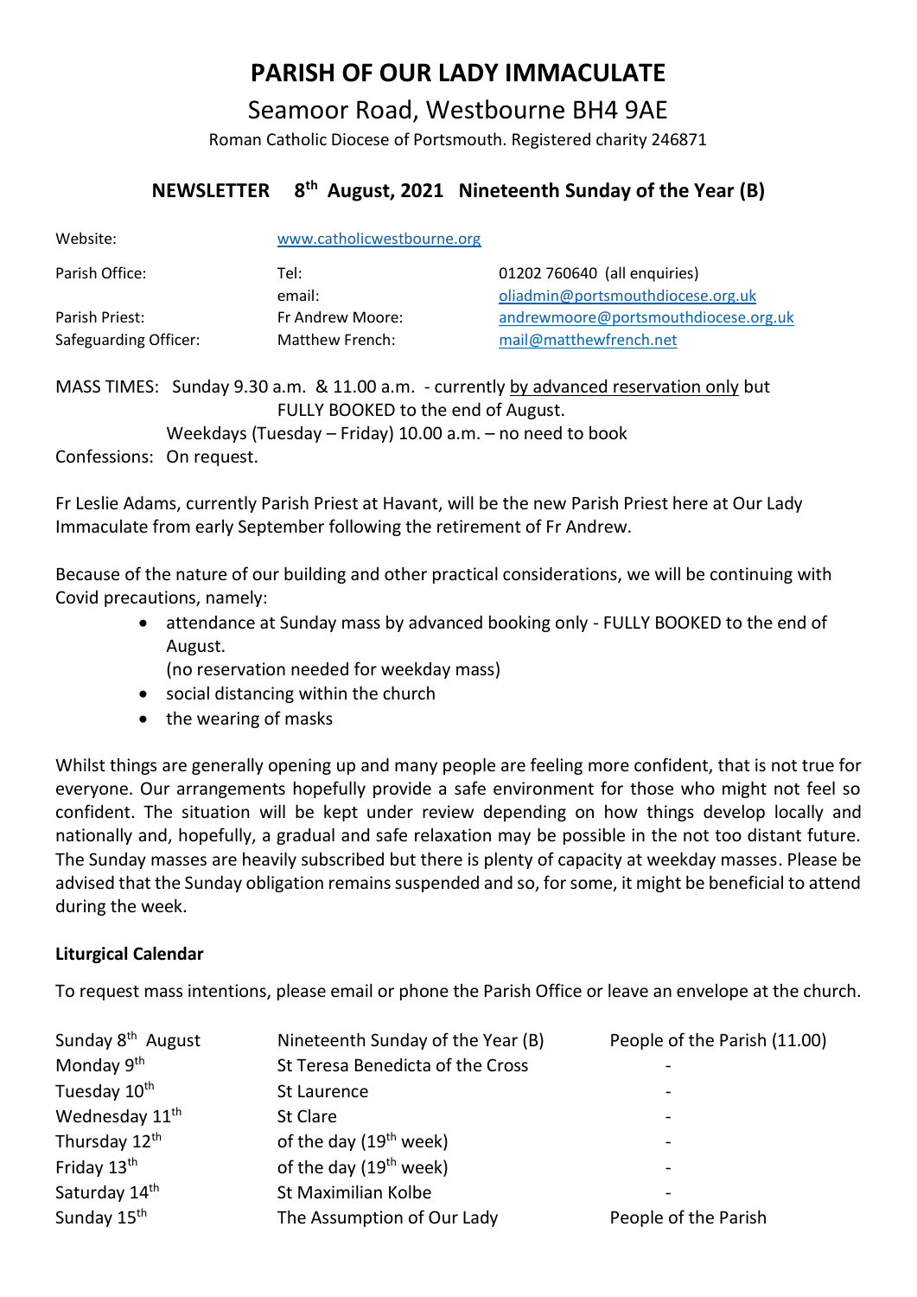# **PARISH OF OUR LADY IMMACULATE**

Seamoor Road, Westbourne BH4 9AE

Roman Catholic Diocese of Portsmouth. Registered charity 246871

### **NEWSLETTER 8 th August, 2021 Nineteenth Sunday of the Year (B)**

| Website:              | www.catholicwestbourne.org |                                      |
|-----------------------|----------------------------|--------------------------------------|
| Parish Office:        | Tel:                       | 01202 760640 (all enquiries)         |
|                       | email:                     | oliadmin@portsmouthdiocese.org.uk    |
| Parish Priest:        | Fr Andrew Moore:           | andrewmoore@portsmouthdiocese.org.uk |
| Safeguarding Officer: | Matthew French:            | mail@matthewfrench.net               |
|                       |                            |                                      |

MASS TIMES: Sunday 9.30 a.m. & 11.00 a.m. - currently by advanced reservation only but FULLY BOOKED to the end of August.

Weekdays (Tuesday – Friday) 10.00 a.m. – no need to book

Confessions: On request.

Fr Leslie Adams, currently Parish Priest at Havant, will be the new Parish Priest here at Our Lady Immaculate from early September following the retirement of Fr Andrew.

Because of the nature of our building and other practical considerations, we will be continuing with Covid precautions, namely:

> • attendance at Sunday mass by advanced booking only - FULLY BOOKED to the end of August.

(no reservation needed for weekday mass)

- social distancing within the church
- the wearing of masks

Whilst things are generally opening up and many people are feeling more confident, that is not true for everyone. Our arrangements hopefully provide a safe environment for those who might not feel so confident. The situation will be kept under review depending on how things develop locally and nationally and, hopefully, a gradual and safe relaxation may be possible in the not too distant future. The Sunday masses are heavily subscribed but there is plenty of capacity at weekday masses. Please be advised that the Sunday obligation remains suspended and so, for some, it might be beneficial to attend during the week.

# **Liturgical Calendar**

To request mass intentions, please email or phone the Parish Office or leave an envelope at the church.

| Sunday 8 <sup>th</sup> August | Nineteenth Sunday of the Year (B)  | People of the Parish (11.00) |
|-------------------------------|------------------------------------|------------------------------|
| Monday 9 <sup>th</sup>        | St Teresa Benedicta of the Cross   |                              |
| Tuesday 10 <sup>th</sup>      | St Laurence                        |                              |
| Wednesday 11 <sup>th</sup>    | St Clare                           |                              |
| Thursday 12 <sup>th</sup>     | of the day (19 <sup>th</sup> week) |                              |
| Friday 13 <sup>th</sup>       | of the day (19 <sup>th</sup> week) |                              |
| Saturday 14th                 | St Maximilian Kolbe                |                              |
| Sunday 15 <sup>th</sup>       | The Assumption of Our Lady         | People of the Parish         |